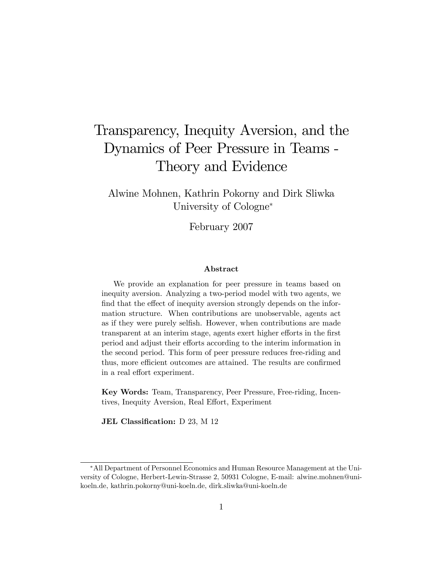# Transparency, Inequity Aversion, and the Dynamics of Peer Pressure in Teams - Theory and Evidence

Alwine Mohnen, Kathrin Pokorny and Dirk Sliwka University of Cologne<sup>\*</sup>

February 2007

#### Abstract

We provide an explanation for peer pressure in teams based on inequity aversion. Analyzing a two-period model with two agents, we find that the effect of inequity aversion strongly depends on the information structure. When contributions are unobservable, agents act as if they were purely selfish. However, when contributions are made transparent at an interim stage, agents exert higher efforts in the first period and adjust their efforts according to the interim information in the second period. This form of peer pressure reduces free-riding and thus, more efficient outcomes are attained. The results are confirmed in a real effort experiment.

Key Words: Team, Transparency, Peer Pressure, Free-riding, Incentives, Inequity Aversion, Real Effort, Experiment

JEL Classification:  $D$  23, M 12

All Department of Personnel Economics and Human Resource Management at the University of Cologne, Herbert-Lewin-Strasse 2, 50931 Cologne, E-mail: alwine.mohnen@unikoeln.de, kathrin.pokorny@uni-koeln.de, dirk.sliwka@uni-koeln.de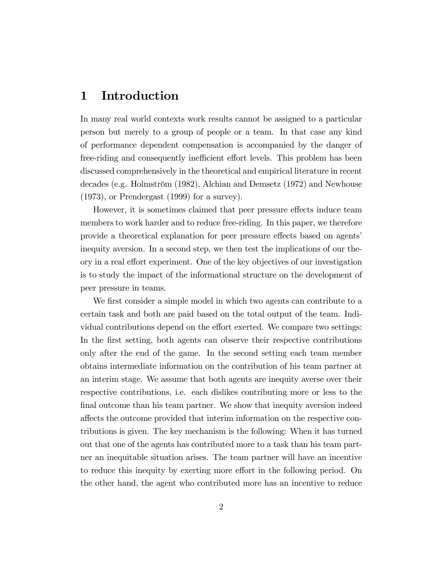# 1 Introduction

In many real world contexts work results cannot be assigned to a particular person but merely to a group of people or a team. In that case any kind of performance dependent compensation is accompanied by the danger of free-riding and consequently inefficient effort levels. This problem has been discussed comprehensively in the theoretical and empirical literature in recent decades (e.g. Holmström  $(1982)$ , Alchian and Demsetz  $(1972)$  and Newhouse (1973), or Prendergast (1999) for a survey).

However, it is sometimes claimed that peer pressure effects induce team members to work harder and to reduce free-riding. In this paper, we therefore provide a theoretical explanation for peer pressure effects based on agents' inequity aversion. In a second step, we then test the implications of our theory in a real effort experiment. One of the key objectives of our investigation is to study the impact of the informational structure on the development of peer pressure in teams.

We first consider a simple model in which two agents can contribute to a certain task and both are paid based on the total output of the team. Individual contributions depend on the effort exerted. We compare two settings: In the first setting, both agents can observe their respective contributions only after the end of the game. In the second setting each team member obtains intermediate information on the contribution of his team partner at an interim stage. We assume that both agents are inequity averse over their respective contributions, i.e. each dislikes contributing more or less to the final outcome than his team partner. We show that inequity aversion indeed affects the outcome provided that interim information on the respective contributions is given. The key mechanism is the following: When it has turned out that one of the agents has contributed more to a task than his team partner an inequitable situation arises. The team partner will have an incentive to reduce this inequity by exerting more effort in the following period. On the other hand, the agent who contributed more has an incentive to reduce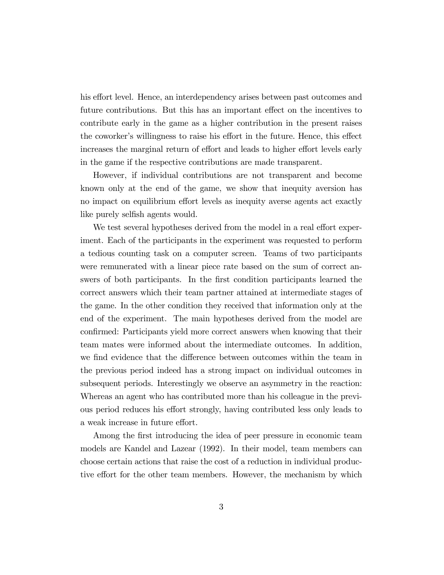his effort level. Hence, an interdependency arises between past outcomes and future contributions. But this has an important effect on the incentives to contribute early in the game as a higher contribution in the present raises the coworker's willingness to raise his effort in the future. Hence, this effect increases the marginal return of effort and leads to higher effort levels early in the game if the respective contributions are made transparent.

However, if individual contributions are not transparent and become known only at the end of the game, we show that inequity aversion has no impact on equilibrium effort levels as inequity averse agents act exactly like purely selfish agents would.

We test several hypotheses derived from the model in a real effort experiment. Each of the participants in the experiment was requested to perform a tedious counting task on a computer screen. Teams of two participants were remunerated with a linear piece rate based on the sum of correct answers of both participants. In the first condition participants learned the correct answers which their team partner attained at intermediate stages of the game. In the other condition they received that information only at the end of the experiment. The main hypotheses derived from the model are confirmed: Participants yield more correct answers when knowing that their team mates were informed about the intermediate outcomes. In addition, we find evidence that the difference between outcomes within the team in the previous period indeed has a strong impact on individual outcomes in subsequent periods. Interestingly we observe an asymmetry in the reaction: Whereas an agent who has contributed more than his colleague in the previous period reduces his effort strongly, having contributed less only leads to a weak increase in future effort.

Among the first introducing the idea of peer pressure in economic team models are Kandel and Lazear (1992). In their model, team members can choose certain actions that raise the cost of a reduction in individual productive effort for the other team members. However, the mechanism by which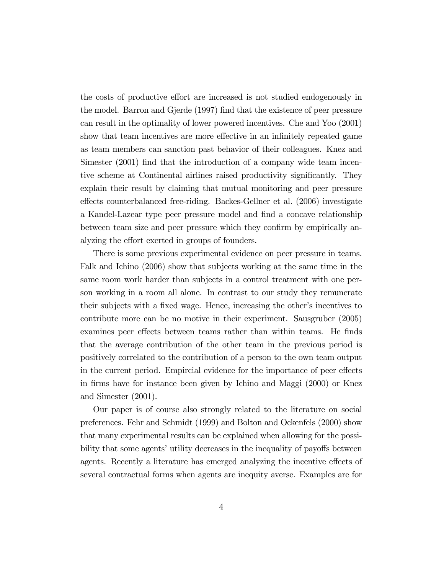the costs of productive effort are increased is not studied endogenously in the model. Barron and Gjerde (1997) find that the existence of peer pressure can result in the optimality of lower powered incentives. Che and Yoo (2001) show that team incentives are more effective in an infinitely repeated game as team members can sanction past behavior of their colleagues. Knez and Simester (2001) find that the introduction of a company wide team incentive scheme at Continental airlines raised productivity significantly. They explain their result by claiming that mutual monitoring and peer pressure effects counterbalanced free-riding. Backes-Gellner et al. (2006) investigate a Kandel-Lazear type peer pressure model and find a concave relationship between team size and peer pressure which they confirm by empirically analyzing the effort exerted in groups of founders.

There is some previous experimental evidence on peer pressure in teams. Falk and Ichino (2006) show that subjects working at the same time in the same room work harder than subjects in a control treatment with one person working in a room all alone. In contrast to our study they remunerate their subjects with a fixed wage. Hence, increasing the other's incentives to contribute more can be no motive in their experiment. Sausgruber (2005) examines peer effects between teams rather than within teams. He finds that the average contribution of the other team in the previous period is positively correlated to the contribution of a person to the own team output in the current period. Empircial evidence for the importance of peer effects in Örms have for instance been given by Ichino and Maggi (2000) or Knez and Simester (2001).

Our paper is of course also strongly related to the literature on social preferences. Fehr and Schmidt (1999) and Bolton and Ockenfels (2000) show that many experimental results can be explained when allowing for the possibility that some agents' utility decreases in the inequality of payoffs between agents. Recently a literature has emerged analyzing the incentive effects of several contractual forms when agents are inequity averse. Examples are for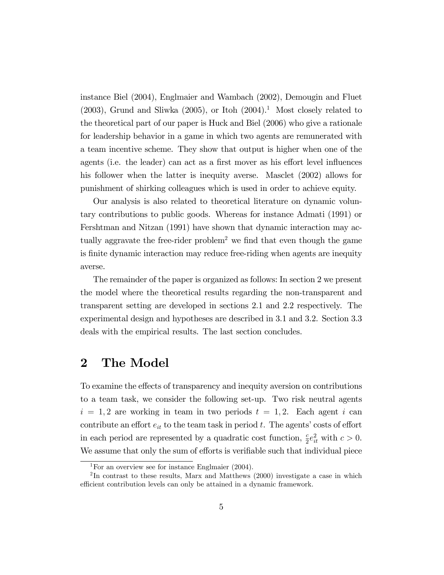instance Biel (2004), Englmaier and Wambach (2002), Demougin and Fluet  $(2003)$ , Grund and Sliwka  $(2005)$ , or Itoh  $(2004)$ <sup>1</sup>. Most closely related to the theoretical part of our paper is Huck and Biel (2006) who give a rationale for leadership behavior in a game in which two agents are remunerated with a team incentive scheme. They show that output is higher when one of the agents (i.e. the leader) can act as a first mover as his effort level influences his follower when the latter is inequity averse. Masclet (2002) allows for punishment of shirking colleagues which is used in order to achieve equity.

Our analysis is also related to theoretical literature on dynamic voluntary contributions to public goods. Whereas for instance Admati (1991) or Fershtman and Nitzan (1991) have shown that dynamic interaction may actually aggravate the free-rider problem<sup>2</sup> we find that even though the game is finite dynamic interaction may reduce free-riding when agents are inequity averse.

The remainder of the paper is organized as follows: In section 2 we present the model where the theoretical results regarding the non-transparent and transparent setting are developed in sections 2.1 and 2.2 respectively. The experimental design and hypotheses are described in 3.1 and 3.2. Section 3.3 deals with the empirical results. The last section concludes.

# 2 The Model

To examine the effects of transparency and inequity aversion on contributions to a team task, we consider the following set-up. Two risk neutral agents  $i = 1, 2$  are working in team in two periods  $t = 1, 2$ . Each agent i can contribute an effort  $e_{it}$  to the team task in period t. The agents' costs of effort in each period are represented by a quadratic cost function,  $\frac{c}{2}e_{it}^2$  with  $c > 0$ . We assume that only the sum of efforts is verifiable such that individual piece

<sup>&</sup>lt;sup>1</sup>For an overview see for instance Englmaier  $(2004)$ .

<sup>&</sup>lt;sup>2</sup>In contrast to these results, Marx and Matthews (2000) investigate a case in which efficient contribution levels can only be attained in a dynamic framework.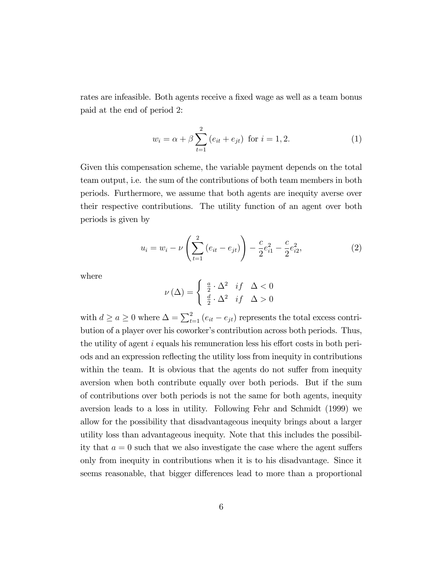rates are infeasible. Both agents receive a fixed wage as well as a team bonus paid at the end of period 2:

$$
w_i = \alpha + \beta \sum_{t=1}^{2} (e_{it} + e_{jt}) \text{ for } i = 1, 2.
$$
 (1)

Given this compensation scheme, the variable payment depends on the total team output, i.e. the sum of the contributions of both team members in both periods. Furthermore, we assume that both agents are inequity averse over their respective contributions. The utility function of an agent over both periods is given by

$$
u_i = w_i - \nu \left( \sum_{t=1}^2 \left( e_{it} - e_{jt} \right) \right) - \frac{c}{2} e_{i1}^2 - \frac{c}{2} e_{i2}^2,
$$
 (2)

where

$$
\nu(\Delta) = \begin{cases} \frac{a}{2} \cdot \Delta^2 & \text{if } \Delta < 0\\ \frac{d}{2} \cdot \Delta^2 & \text{if } \Delta > 0 \end{cases}
$$

with  $d \ge a \ge 0$  where  $\Delta = \sum_{t=1}^{2} (e_{it} - e_{jt})$  represents the total excess contribution of a player over his coworker's contribution across both periods. Thus, the utility of agent  $i$  equals his remuneration less his effort costs in both periods and an expression reflecting the utility loss from inequity in contributions within the team. It is obvious that the agents do not suffer from inequity aversion when both contribute equally over both periods. But if the sum of contributions over both periods is not the same for both agents, inequity aversion leads to a loss in utility. Following Fehr and Schmidt (1999) we allow for the possibility that disadvantageous inequity brings about a larger utility loss than advantageous inequity. Note that this includes the possibility that  $a = 0$  such that we also investigate the case where the agent suffers only from inequity in contributions when it is to his disadvantage. Since it seems reasonable, that bigger differences lead to more than a proportional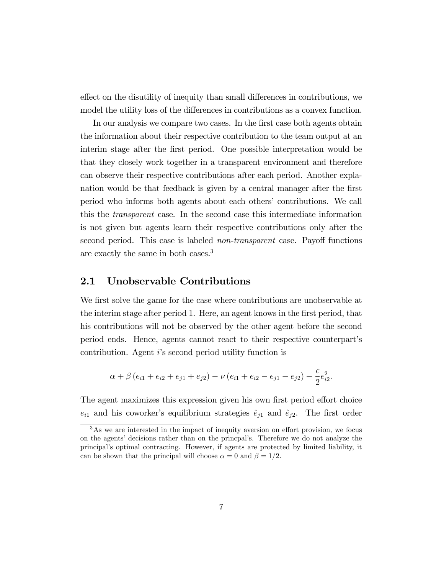effect on the disutility of inequity than small differences in contributions, we model the utility loss of the differences in contributions as a convex function.

In our analysis we compare two cases. In the first case both agents obtain the information about their respective contribution to the team output at an interim stage after the first period. One possible interpretation would be that they closely work together in a transparent environment and therefore can observe their respective contributions after each period. Another explanation would be that feedback is given by a central manager after the first period who informs both agents about each othersí contributions. We call this the transparent case. In the second case this intermediate information is not given but agents learn their respective contributions only after the second period. This case is labeled *non-transparent* case. Payoff functions are exactly the same in both cases.<sup>3</sup>

### 2.1 Unobservable Contributions

We first solve the game for the case where contributions are unobservable at the interim stage after period 1. Here, an agent knows in the first period, that his contributions will not be observed by the other agent before the second period ends. Hence, agents cannot react to their respective counterpartís contribution. Agent iís second period utility function is

$$
\alpha + \beta (e_{i1} + e_{i2} + e_{j1} + e_{j2}) - \nu (e_{i1} + e_{i2} - e_{j1} - e_{j2}) - \frac{c}{2}e_{i2}^2.
$$

The agent maximizes this expression given his own first period effort choice  $e_{i1}$  and his coworker's equilibrium strategies  $\hat{e}_{j1}$  and  $\hat{e}_{j2}$ . The first order

 $3$ As we are interested in the impact of inequity aversion on effort provision, we focus on the agents' decisions rather than on the princpal's. Therefore we do not analyze the principalís optimal contracting. However, if agents are protected by limited liability, it can be shown that the principal will choose  $\alpha = 0$  and  $\beta = 1/2$ .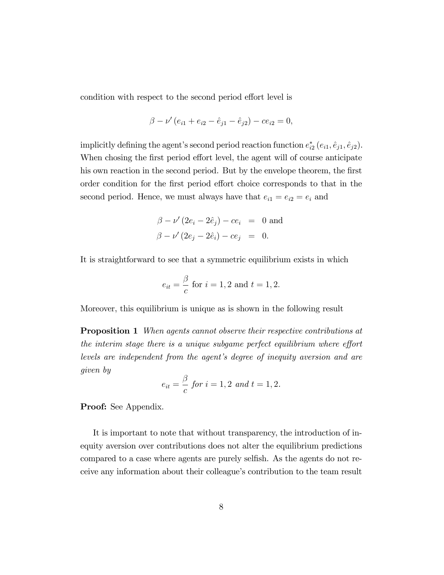condition with respect to the second period effort level is

$$
\beta - \nu' (e_{i1} + e_{i2} - \hat{e}_{j1} - \hat{e}_{j2}) - ce_{i2} = 0,
$$

implicitly defining the agent's second period reaction function  $e_{i2}^*(e_{i1}, \hat{e}_{j1}, \hat{e}_{j2})$ . When chosing the first period effort level, the agent will of course anticipate his own reaction in the second period. But by the envelope theorem, the first order condition for the first period effort choice corresponds to that in the second period. Hence, we must always have that  $e_{i1} = e_{i2} = e_i$  and

$$
\beta - \nu' (2e_i - 2\hat{e}_j) - ce_i = 0
$$
 and  
\n $\beta - \nu' (2e_j - 2\hat{e}_i) - ce_j = 0.$ 

It is straightforward to see that a symmetric equilibrium exists in which

$$
e_{it} = \frac{\beta}{c}
$$
 for  $i = 1, 2$  and  $t = 1, 2$ .

Moreover, this equilibrium is unique as is shown in the following result

**Proposition 1** When agents cannot observe their respective contributions at the interim stage there is a unique subgame perfect equilibrium where effort levels are independent from the agent's degree of inequity aversion and are given by

$$
e_{it} = \frac{\beta}{c}
$$
 for  $i = 1, 2$  and  $t = 1, 2$ .

Proof: See Appendix.

It is important to note that without transparency, the introduction of inequity aversion over contributions does not alter the equilibrium predictions compared to a case where agents are purely selfish. As the agents do not receive any information about their colleague's contribution to the team result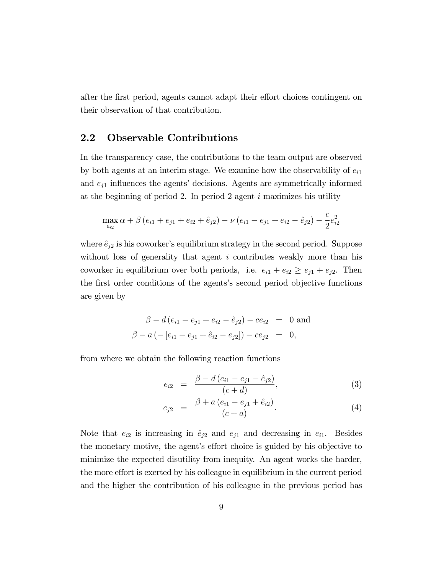after the first period, agents cannot adapt their effort choices contingent on their observation of that contribution.

### 2.2 Observable Contributions

In the transparency case, the contributions to the team output are observed by both agents at an interim stage. We examine how the observability of  $e_{i1}$ and  $e_{i1}$  influences the agents' decisions. Agents are symmetrically informed at the beginning of period 2. In period 2 agent  $i$  maximizes his utility

$$
\max_{e_{i2}} \alpha + \beta \left(e_{i1} + e_{j1} + e_{i2} + \hat{e}_{j2}\right) - \nu \left(e_{i1} - e_{j1} + e_{i2} - \hat{e}_{j2}\right) - \frac{c}{2}e_{i2}^2
$$

where  $\hat{e}_{j2}$  is his coworker's equilibrium strategy in the second period. Suppose without loss of generality that agent  $i$  contributes weakly more than his coworker in equilibrium over both periods, i.e.  $e_{i1} + e_{i2} \ge e_{j1} + e_{j2}$ . Then the first order conditions of the agents's second period objective functions are given by

$$
\beta - d(e_{i1} - e_{j1} + e_{i2} - \hat{e}_{j2}) - ce_{i2} = 0 \text{ and}
$$
  

$$
\beta - a(-[e_{i1} - e_{j1} + \hat{e}_{i2} - e_{j2}]) - ce_{j2} = 0,
$$

from where we obtain the following reaction functions

$$
e_{i2} = \frac{\beta - d(e_{i1} - e_{j1} - \hat{e}_{j2})}{(c + d)}, \tag{3}
$$

$$
e_{j2} = \frac{\beta + a (e_{i1} - e_{j1} + \hat{e}_{i2})}{(c + a)}.
$$
 (4)

Note that  $e_{i2}$  is increasing in  $\hat{e}_{j2}$  and  $e_{j1}$  and decreasing in  $e_{i1}$ . Besides the monetary motive, the agent's effort choice is guided by his objective to minimize the expected disutility from inequity. An agent works the harder, the more effort is exerted by his colleague in equilibrium in the current period and the higher the contribution of his colleague in the previous period has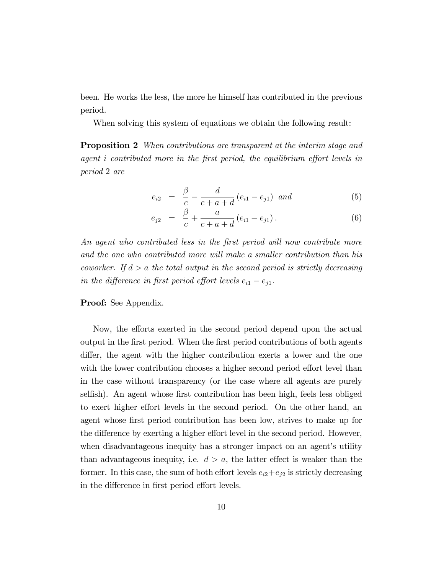been. He works the less, the more he himself has contributed in the previous period.

When solving this system of equations we obtain the following result:

**Proposition 2** When contributions are transparent at the interim stage and agent i contributed more in the first period, the equilibrium effort levels in period 2 are

$$
e_{i2} = \frac{\beta}{c} - \frac{d}{c+a+d} (e_{i1} - e_{j1}) \text{ and } (5)
$$

$$
e_{j2} = \frac{\beta}{c} + \frac{a}{c+a+d} (e_{i1} - e_{j1}). \tag{6}
$$

An agent who contributed less in the first period will now contribute more and the one who contributed more will make a smaller contribution than his coworker. If  $d > a$  the total output in the second period is strictly decreasing in the difference in first period effort levels  $e_{i1} - e_{i1}$ .

#### Proof: See Appendix.

Now, the efforts exerted in the second period depend upon the actual output in the first period. When the first period contributions of both agents differ, the agent with the higher contribution exerts a lower and the one with the lower contribution chooses a higher second period effort level than in the case without transparency (or the case where all agents are purely selfish). An agent whose first contribution has been high, feels less obliged to exert higher effort levels in the second period. On the other hand, an agent whose first period contribution has been low, strives to make up for the difference by exerting a higher effort level in the second period. However, when disadvantageous inequity has a stronger impact on an agent's utility than advantageous inequity, i.e.  $d > a$ , the latter effect is weaker than the former. In this case, the sum of both effort levels  $e_{i2}+e_{j2}$  is strictly decreasing in the difference in first period effort levels.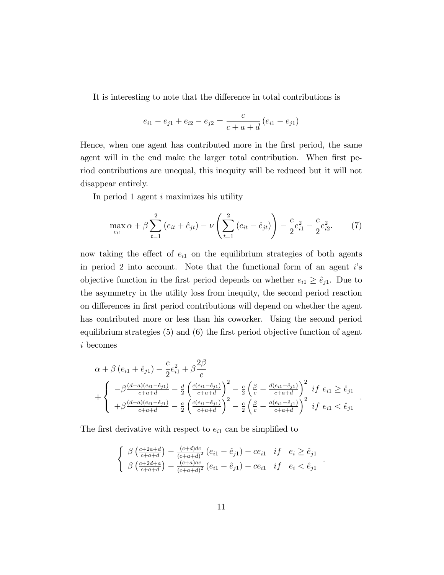It is interesting to note that the difference in total contributions is

$$
e_{i1} - e_{j1} + e_{i2} - e_{j2} = \frac{c}{c + a + d} (e_{i1} - e_{j1})
$$

Hence, when one agent has contributed more in the first period, the same agent will in the end make the larger total contribution. When first period contributions are unequal, this inequity will be reduced but it will not disappear entirely.

In period 1 agent i maximizes his utility

$$
\max_{e_{i1}} \alpha + \beta \sum_{t=1}^{2} (e_{it} + \hat{e}_{jt}) - \nu \left( \sum_{t=1}^{2} (e_{it} - \hat{e}_{jt}) \right) - \frac{c}{2} e_{i1}^2 - \frac{c}{2} e_{i2}^2.
$$
 (7)

now taking the effect of  $e_{i1}$  on the equilibrium strategies of both agents in period 2 into account. Note that the functional form of an agent  $i$ 's objective function in the first period depends on whether  $e_{i1} \geq \hat{e}_{j1}$ . Due to the asymmetry in the utility loss from inequity, the second period reaction on differences in first period contributions will depend on whether the agent has contributed more or less than his coworker. Using the second period equilibrium strategies  $(5)$  and  $(6)$  the first period objective function of agent i becomes

$$
\alpha + \beta (e_{i1} + \hat{e}_{j1}) - \frac{c}{2}e_{i1}^2 + \beta \frac{2\beta}{c}
$$
  
+ 
$$
\begin{cases} -\beta \frac{(d-a)(e_{i1} - \hat{e}_{j1})}{c+a+d} - \frac{d}{2} \left( \frac{e_{i1} - \hat{e}_{j1}}{c+a+d} \right)^2 - \frac{c}{2} \left( \frac{\beta}{c} - \frac{d(e_{i1} - \hat{e}_{j1})}{c+a+d} \right)^2 & if \ e_{i1} \ge \hat{e}_{j1} \\ + \beta \frac{(d-a)(e_{i1} - \hat{e}_{j1})}{c+a+d} - \frac{a}{2} \left( \frac{e(e_{i1} - \hat{e}_{j1})}{c+a+d} \right)^2 - \frac{c}{2} \left( \frac{\beta}{c} - \frac{a(e_{i1} - \hat{e}_{j1})}{c+a+d} \right)^2 & if \ e_{i1} < \hat{e}_{j1} \end{cases}
$$

:

:

The first derivative with respect to  $e_{i1}$  can be simplified to

$$
\begin{cases} \beta \left( \frac{c+2a+d}{c+a+d} \right) - \frac{(c+d)dc}{(c+a+d)^2} \left( e_{i1} - \hat{e}_{j1} \right) - ce_{i1} & if \quad e_i \ge \hat{e}_{j1} \\ \beta \left( \frac{c+2d+a}{c+a+d} \right) - \frac{(c+a)ac}{(c+a+d)^2} \left( e_{i1} - \hat{e}_{j1} \right) - ce_{i1} & if \quad e_i < \hat{e}_{j1} \end{cases}
$$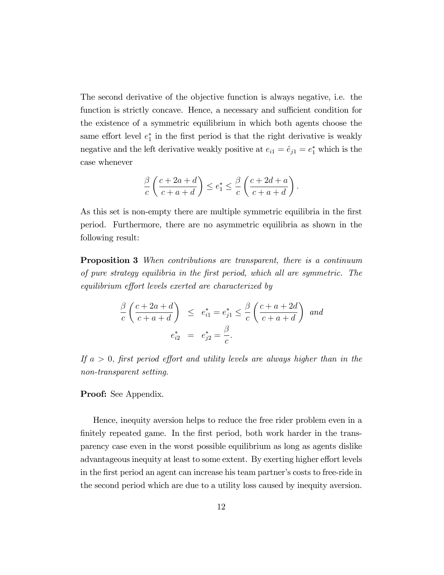The second derivative of the objective function is always negative, i.e. the function is strictly concave. Hence, a necessary and sufficient condition for the existence of a symmetric equilibrium in which both agents choose the same effort level  $e_1^*$  in the first period is that the right derivative is weakly negative and the left derivative weakly positive at  $e_{i1} = \hat{e}_{j1} = e_1^*$  which is the case whenever

$$
\frac{\beta}{c} \left( \frac{c+2a+d}{c+a+d} \right) \le e_1^* \le \frac{\beta}{c} \left( \frac{c+2d+a}{c+a+d} \right).
$$

As this set is non-empty there are multiple symmetric equilibria in the first period. Furthermore, there are no asymmetric equilibria as shown in the following result:

**Proposition 3** When contributions are transparent, there is a continuum of pure strategy equilibria in the Örst period, which all are symmetric. The equilibrium effort levels exerted are characterized by

$$
\frac{\beta}{c} \left( \frac{c+2a+d}{c+a+d} \right) \le e_{i1}^* = e_{j1}^* \le \frac{\beta}{c} \left( \frac{c+a+2d}{c+a+d} \right) \text{ and}
$$

$$
e_{i2}^* = e_{j2}^* = \frac{\beta}{c}.
$$

If  $a > 0$ , first period effort and utility levels are always higher than in the non-transparent setting.

#### Proof: See Appendix.

Hence, inequity aversion helps to reduce the free rider problem even in a finitely repeated game. In the first period, both work harder in the transparency case even in the worst possible equilibrium as long as agents dislike advantageous inequity at least to some extent. By exerting higher effort levels in the first period an agent can increase his team partner's costs to free-ride in the second period which are due to a utility loss caused by inequity aversion.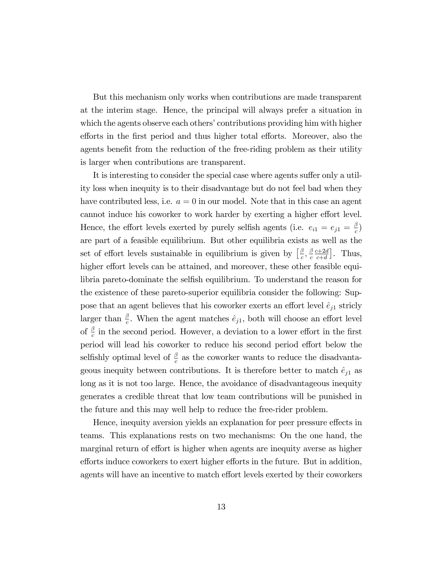But this mechanism only works when contributions are made transparent at the interim stage. Hence, the principal will always prefer a situation in which the agents observe each others' contributions providing him with higher efforts in the first period and thus higher total efforts. Moreover, also the agents benefit from the reduction of the free-riding problem as their utility is larger when contributions are transparent.

It is interesting to consider the special case where agents suffer only a utility loss when inequity is to their disadvantage but do not feel bad when they have contributed less, i.e.  $a = 0$  in our model. Note that in this case an agent cannot induce his coworker to work harder by exerting a higher effort level. Hence, the effort levels exerted by purely selfish agents (i.e.  $e_{i1} = e_{j1} = \frac{\beta}{c}$  $\frac{\sigma}{c}$ are part of a feasible equilibrium. But other equilibria exists as well as the set of effort levels sustainable in equilibrium is given by  $\left[\frac{\beta}{c}\right]$  $\frac{\beta}{c}, \frac{\beta}{c}$ c  $c+2d$  $\left[\frac{c+2d}{c+d}\right]$ . Thus, higher effort levels can be attained, and moreover, these other feasible equilibria pareto-dominate the selfish equilibrium. To understand the reason for the existence of these pareto-superior equilibria consider the following: Suppose that an agent believes that his coworker exerts an effort level  $\hat{e}_{j1}$  stricly larger than  $\frac{\beta}{c}$ . When the agent matches  $\hat{e}_{j1}$ , both will choose an effort level of  $\frac{\beta}{c}$  in the second period. However, a deviation to a lower effort in the first period will lead his coworker to reduce his second period effort below the selfishly optimal level of  $\frac{\beta}{c}$  as the coworker wants to reduce the disadvantageous inequity between contributions. It is therefore better to match  $\hat{e}_{j1}$  as long as it is not too large. Hence, the avoidance of disadvantageous inequity generates a credible threat that low team contributions will be punished in the future and this may well help to reduce the free-rider problem.

Hence, inequity aversion yields an explanation for peer pressure effects in teams. This explanations rests on two mechanisms: On the one hand, the marginal return of effort is higher when agents are inequity averse as higher efforts induce coworkers to exert higher efforts in the future. But in addition, agents will have an incentive to match effort levels exerted by their coworkers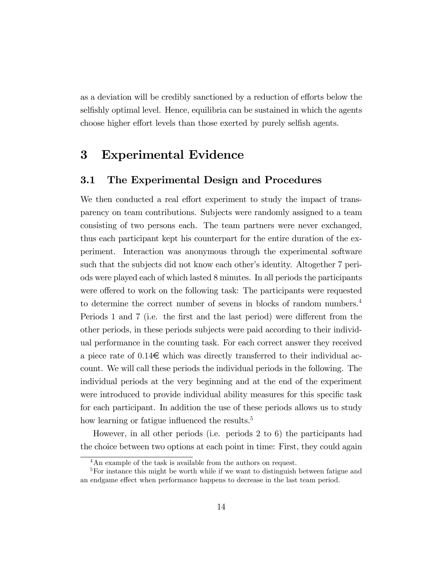as a deviation will be credibly sanctioned by a reduction of efforts below the selfishly optimal level. Hence, equilibria can be sustained in which the agents choose higher effort levels than those exerted by purely selfish agents.

# 3 Experimental Evidence

### 3.1 The Experimental Design and Procedures

We then conducted a real effort experiment to study the impact of transparency on team contributions. Subjects were randomly assigned to a team consisting of two persons each. The team partners were never exchanged, thus each participant kept his counterpart for the entire duration of the experiment. Interaction was anonymous through the experimental software such that the subjects did not know each other's identity. Altogether 7 periods were played each of which lasted 8 minutes. In all periods the participants were offered to work on the following task: The participants were requested to determine the correct number of sevens in blocks of random numbers.<sup>4</sup> Periods 1 and 7 (i.e. the first and the last period) were different from the other periods, in these periods subjects were paid according to their individual performance in the counting task. For each correct answer they received a piece rate of  $0.14\epsilon$  which was directly transferred to their individual account. We will call these periods the individual periods in the following. The individual periods at the very beginning and at the end of the experiment were introduced to provide individual ability measures for this specific task for each participant. In addition the use of these periods allows us to study how learning or fatigue influenced the results. $5$ 

However, in all other periods (i.e. periods 2 to 6) the participants had the choice between two options at each point in time: First, they could again

<sup>4</sup>An example of the task is available from the authors on request.

<sup>&</sup>lt;sup>5</sup>For instance this might be worth while if we want to distinguish between fatigue and an endgame effect when performance happens to decrease in the last team period.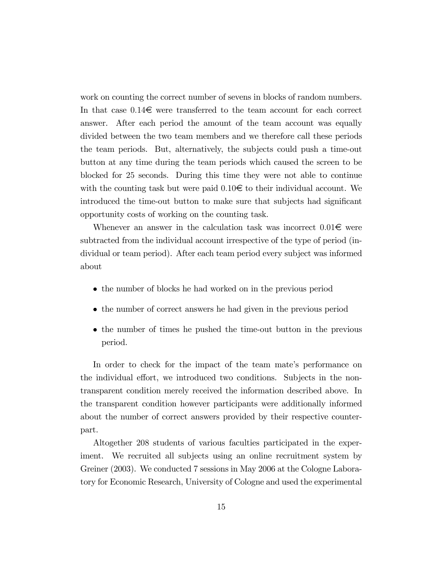work on counting the correct number of sevens in blocks of random numbers. In that case  $0.14\epsilon$  were transferred to the team account for each correct answer. After each period the amount of the team account was equally divided between the two team members and we therefore call these periods the team periods. But, alternatively, the subjects could push a time-out button at any time during the team periods which caused the screen to be blocked for 25 seconds. During this time they were not able to continue with the counting task but were paid  $0.10 \in \mathfrak{t}$  to their individual account. We introduced the time-out button to make sure that subjects had significant opportunity costs of working on the counting task.

Whenever an answer in the calculation task was incorrect  $0.01\epsilon$  were subtracted from the individual account irrespective of the type of period (individual or team period). After each team period every subject was informed about

- the number of blocks he had worked on in the previous period
- the number of correct answers he had given in the previous period
- the number of times he pushed the time-out button in the previous period.

In order to check for the impact of the team mate's performance on the individual effort, we introduced two conditions. Subjects in the nontransparent condition merely received the information described above. In the transparent condition however participants were additionally informed about the number of correct answers provided by their respective counterpart.

Altogether 208 students of various faculties participated in the experiment. We recruited all subjects using an online recruitment system by Greiner (2003). We conducted 7 sessions in May 2006 at the Cologne Laboratory for Economic Research, University of Cologne and used the experimental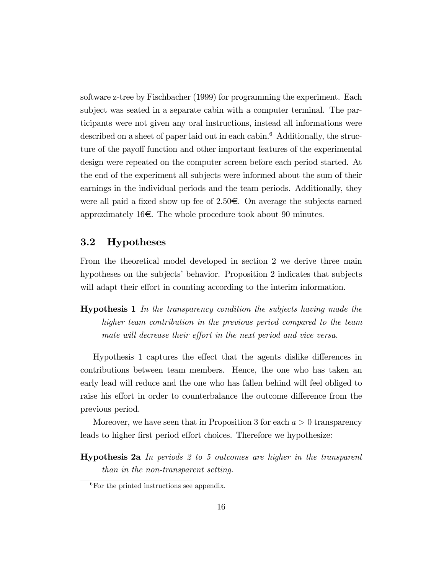software z-tree by Fischbacher (1999) for programming the experiment. Each subject was seated in a separate cabin with a computer terminal. The participants were not given any oral instructions, instead all informations were described on a sheet of paper laid out in each cabin.<sup>6</sup> Additionally, the structure of the payoff function and other important features of the experimental design were repeated on the computer screen before each period started. At the end of the experiment all subjects were informed about the sum of their earnings in the individual periods and the team periods. Additionally, they were all paid a fixed show up fee of 2.50 $\epsilon$ . On average the subjects earned approximately 16 $\epsilon$ . The whole procedure took about 90 minutes.

### 3.2 Hypotheses

From the theoretical model developed in section 2 we derive three main hypotheses on the subjects' behavior. Proposition 2 indicates that subjects will adapt their effort in counting according to the interim information.

Hypothesis 1 In the transparency condition the subjects having made the higher team contribution in the previous period compared to the team mate will decrease their effort in the next period and vice versa.

Hypothesis 1 captures the effect that the agents dislike differences in contributions between team members. Hence, the one who has taken an early lead will reduce and the one who has fallen behind will feel obliged to raise his effort in order to counterbalance the outcome difference from the previous period.

Moreover, we have seen that in Proposition 3 for each  $a > 0$  transparency leads to higher first period effort choices. Therefore we hypothesize:

**Hypothesis 2a** In periods 2 to 5 outcomes are higher in the transparent than in the non-transparent setting.

 ${}^{6}$ For the printed instructions see appendix.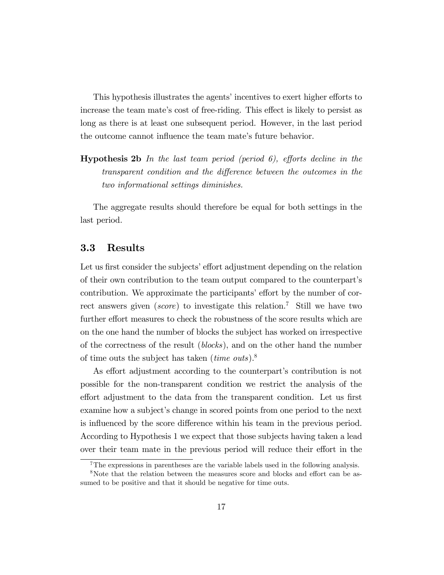This hypothesis illustrates the agents' incentives to exert higher efforts to increase the team mate's cost of free-riding. This effect is likely to persist as long as there is at least one subsequent period. However, in the last period the outcome cannot influence the team mate's future behavior.

**Hypothesis 2b** In the last team period (period 6), efforts decline in the transparent condition and the difference between the outcomes in the two informational settings diminishes.

The aggregate results should therefore be equal for both settings in the last period.

### 3.3 Results

Let us first consider the subjects' effort adjustment depending on the relation of their own contribution to the team output compared to the counterpartís contribution. We approximate the participants' effort by the number of correct answers given (score) to investigate this relation.<sup>7</sup> Still we have two further effort measures to check the robustness of the score results which are on the one hand the number of blocks the subject has worked on irrespective of the correctness of the result (blocks), and on the other hand the number of time outs the subject has taken (*time outs*).<sup>8</sup>

As effort adjustment according to the counterpart's contribution is not possible for the non-transparent condition we restrict the analysis of the effort adjustment to the data from the transparent condition. Let us first examine how a subject's change in scored points from one period to the next is influenced by the score difference within his team in the previous period. According to Hypothesis 1 we expect that those subjects having taken a lead over their team mate in the previous period will reduce their effort in the

<sup>&</sup>lt;sup>7</sup>The expressions in parentheses are the variable labels used in the following analysis.

<sup>&</sup>lt;sup>8</sup>Note that the relation between the measures score and blocks and effort can be assumed to be positive and that it should be negative for time outs.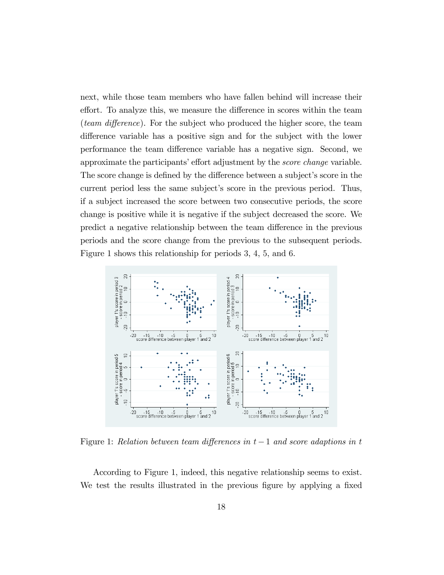next, while those team members who have fallen behind will increase their effort. To analyze this, we measure the difference in scores within the team (*team difference*). For the subject who produced the higher score, the team difference variable has a positive sign and for the subject with the lower performance the team difference variable has a negative sign. Second, we approximate the participants' effort adjustment by the *score change* variable. The score change is defined by the difference between a subject's score in the current period less the same subject's score in the previous period. Thus, if a subject increased the score between two consecutive periods, the score change is positive while it is negative if the subject decreased the score. We predict a negative relationship between the team difference in the previous periods and the score change from the previous to the subsequent periods. Figure 1 shows this relationship for periods 3, 4, 5, and 6.



Figure 1: Relation between team differences in  $t-1$  and score adaptions in t

According to Figure 1, indeed, this negative relationship seems to exist. We test the results illustrated in the previous figure by applying a fixed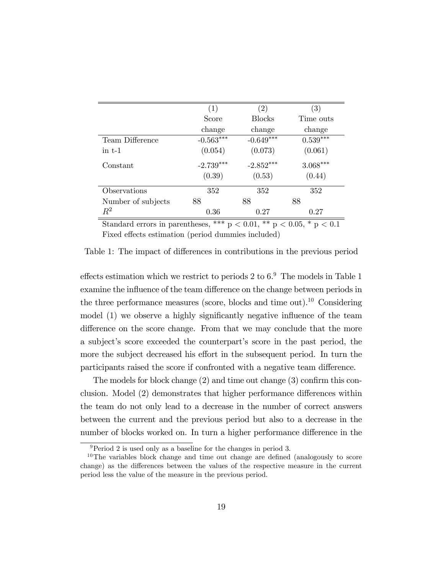|                      | (1)         | $\left( 2\right)$ | $\left( 3\right)$ |
|----------------------|-------------|-------------------|-------------------|
|                      | Score       | <b>Blocks</b>     | Time outs         |
|                      | change      | change            | change            |
| Team Difference      | $-0.563***$ | $-0.649***$       | $0.539***$        |
| $\frac{1}{2}$ in t-1 | (0.054)     | (0.073)           | (0.061)           |
| Constant             | $-2.739***$ | $-2.852***$       | $3.068^{***}\,$   |
|                      | (0.39)      | (0.53)            | (0.44)            |
| Observations         | 352         | 352               | 352               |
| Number of subjects   | 88          | 88                | 88                |
| $R^2$                | 0.36        | 0.27              | 0.27              |

Standard errors in parentheses, \*\*\*  $p < 0.01$ , \*\*  $p < 0.05$ , \*  $p < 0.1$ Fixed effects estimation (period dummies included)

Table 1: The impact of differences in contributions in the previous period

effects estimation which we restrict to periods 2 to  $6.9$  The models in Table 1 examine the influence of the team difference on the change between periods in the three performance measures (score, blocks and time out).<sup>10</sup> Considering model  $(1)$  we observe a highly significantly negative influence of the team difference on the score change. From that we may conclude that the more a subject's score exceeded the counterpart's score in the past period, the more the subject decreased his effort in the subsequent period. In turn the participants raised the score if confronted with a negative team difference.

The models for block change  $(2)$  and time out change  $(3)$  confirm this conclusion. Model  $(2)$  demonstrates that higher performance differences within the team do not only lead to a decrease in the number of correct answers between the current and the previous period but also to a decrease in the number of blocks worked on. In turn a higher performance difference in the

 $9$ Period 2 is used only as a baseline for the changes in period 3.

 $10$ The variables block change and time out change are defined (analogously to score change) as the differences between the values of the respective measure in the current period less the value of the measure in the previous period.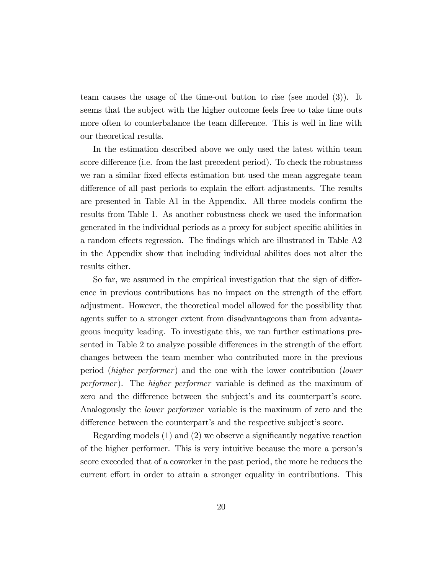team causes the usage of the time-out button to rise (see model (3)). It seems that the subject with the higher outcome feels free to take time outs more often to counterbalance the team difference. This is well in line with our theoretical results.

In the estimation described above we only used the latest within team score difference (i.e. from the last precedent period). To check the robustness we ran a similar fixed effects estimation but used the mean aggregate team difference of all past periods to explain the effort adjustments. The results are presented in Table A1 in the Appendix. All three models confirm the results from Table 1. As another robustness check we used the information generated in the individual periods as a proxy for subject specific abilities in a random effects regression. The findings which are illustrated in Table A2 in the Appendix show that including individual abilites does not alter the results either.

So far, we assumed in the empirical investigation that the sign of difference in previous contributions has no impact on the strength of the effort adjustment. However, the theoretical model allowed for the possibility that agents suffer to a stronger extent from disadvantageous than from advantageous inequity leading. To investigate this, we ran further estimations presented in Table 2 to analyze possible differences in the strength of the effort changes between the team member who contributed more in the previous period (higher performer) and the one with the lower contribution (lower performer). The higher performer variable is defined as the maximum of zero and the difference between the subject's and its counterpart's score. Analogously the lower performer variable is the maximum of zero and the difference between the counterpart's and the respective subject's score.

Regarding models  $(1)$  and  $(2)$  we observe a significantly negative reaction of the higher performer. This is very intuitive because the more a personís score exceeded that of a coworker in the past period, the more he reduces the current effort in order to attain a stronger equality in contributions. This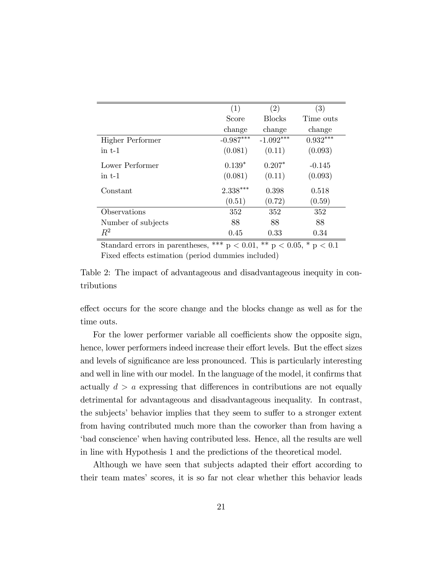|                         | (1)         | (2)           | $\left( 3\right)$ |
|-------------------------|-------------|---------------|-------------------|
|                         | Score       | <b>Blocks</b> | Time outs         |
|                         | change      | change        | change            |
| <b>Higher Performer</b> | $-0.987***$ | $-1.092***$   | $0.932***$        |
| $\frac{1}{2}$ in t-1    | (0.081)     | (0.11)        | (0.093)           |
| Lower Performer         | $0.139*$    | $0.207*$      | $-0.145$          |
| $\frac{1}{2}$ in t-1    | (0.081)     | (0.11)        | (0.093)           |
| Constant                | $2.338***$  | 0.398         | 0.518             |
|                         | (0.51)      | (0.72)        | (0.59)            |
| Observations            | 352         | 352           | 352               |
| Number of subjects      | 88          | 88            | 88                |
| $R^2$                   | 0.45        | 0.33          | 0.34              |

Standard errors in parentheses, \*\*\*  $p < 0.01$ , \*\*  $p < 0.05$ , \*  $p < 0.1$ Fixed effects estimation (period dummies included)

Table 2: The impact of advantageous and disadvantageous inequity in contributions

effect occurs for the score change and the blocks change as well as for the time outs.

For the lower performer variable all coefficients show the opposite sign, hence, lower performers indeed increase their effort levels. But the effect sizes and levels of significance are less pronounced. This is particularly interesting and well in line with our model. In the language of the model, it confirms that actually  $d > a$  expressing that differences in contributions are not equally detrimental for advantageous and disadvantageous inequality. In contrast, the subjects' behavior implies that they seem to suffer to a stronger extent from having contributed much more than the coworker than from having a  $\phi$  thad conscience' when having contributed less. Hence, all the results are well in line with Hypothesis 1 and the predictions of the theoretical model.

Although we have seen that subjects adapted their effort according to their team matesí scores, it is so far not clear whether this behavior leads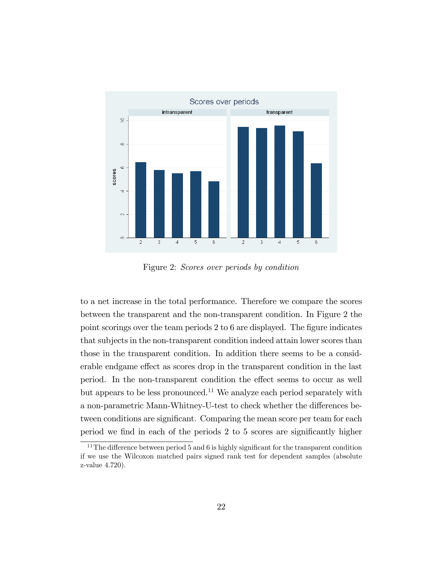

Figure 2: Scores over periods by condition

to a net increase in the total performance. Therefore we compare the scores between the transparent and the non-transparent condition. In Figure 2 the point scorings over the team periods  $2 \text{ to } 6$  are displayed. The figure indicates that subjects in the non-transparent condition indeed attain lower scores than those in the transparent condition. In addition there seems to be a considerable endgame effect as scores drop in the transparent condition in the last period. In the non-transparent condition the effect seems to occur as well but appears to be less pronounced.<sup>11</sup> We analyze each period separately with a non-parametric Mann-Whitney-U-test to check whether the differences between conditions are significant. Comparing the mean score per team for each period we find in each of the periods 2 to 5 scores are significantly higher

 $11$ The difference between period 5 and 6 is highly significant for the transparent condition if we use the Wilcoxon matched pairs signed rank test for dependent samples (absolute z-value 4:720).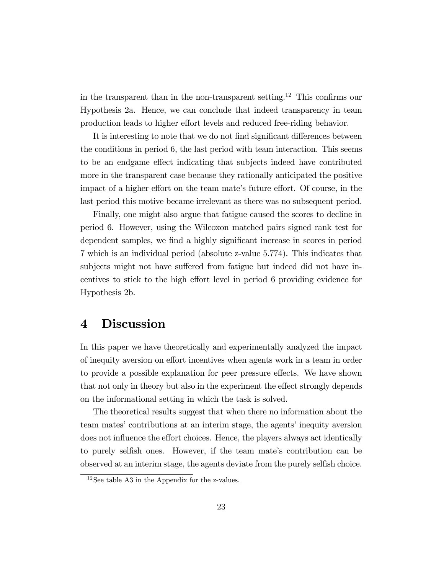in the transparent than in the non-transparent setting.<sup>12</sup> This confirms our Hypothesis 2a. Hence, we can conclude that indeed transparency in team production leads to higher effort levels and reduced free-riding behavior.

It is interesting to note that we do not find significant differences between the conditions in period 6, the last period with team interaction. This seems to be an endgame effect indicating that subjects indeed have contributed more in the transparent case because they rationally anticipated the positive impact of a higher effort on the team mate's future effort. Of course, in the last period this motive became irrelevant as there was no subsequent period.

Finally, one might also argue that fatigue caused the scores to decline in period 6. However, using the Wilcoxon matched pairs signed rank test for dependent samples, we find a highly significant increase in scores in period 7 which is an individual period (absolute z-value 5:774). This indicates that subjects might not have suffered from fatigue but indeed did not have incentives to stick to the high effort level in period 6 providing evidence for Hypothesis 2b.

# 4 Discussion

In this paper we have theoretically and experimentally analyzed the impact of inequity aversion on effort incentives when agents work in a team in order to provide a possible explanation for peer pressure effects. We have shown that not only in theory but also in the experiment the effect strongly depends on the informational setting in which the task is solved.

The theoretical results suggest that when there no information about the team mates' contributions at an interim stage, the agents' inequity aversion does not influence the effort choices. Hence, the players always act identically to purely selfish ones. However, if the team mate's contribution can be observed at an interim stage, the agents deviate from the purely selfish choice.

 $12$ See table A3 in the Appendix for the z-values.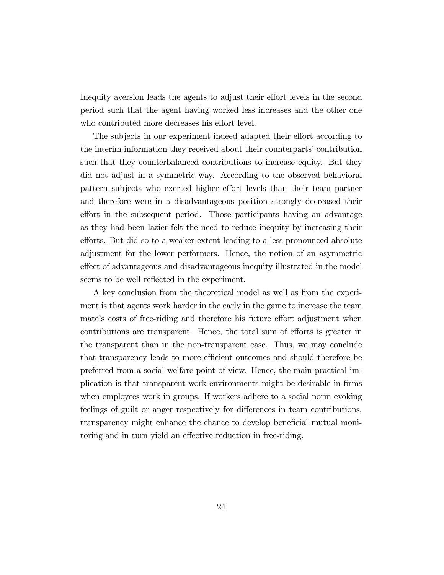Inequity aversion leads the agents to adjust their effort levels in the second period such that the agent having worked less increases and the other one who contributed more decreases his effort level.

The subjects in our experiment indeed adapted their effort according to the interim information they received about their counterparts' contribution such that they counterbalanced contributions to increase equity. But they did not adjust in a symmetric way. According to the observed behavioral pattern subjects who exerted higher effort levels than their team partner and therefore were in a disadvantageous position strongly decreased their effort in the subsequent period. Those participants having an advantage as they had been lazier felt the need to reduce inequity by increasing their efforts. But did so to a weaker extent leading to a less pronounced absolute adjustment for the lower performers. Hence, the notion of an asymmetric effect of advantageous and disadvantageous inequity illustrated in the model seems to be well reflected in the experiment.

A key conclusion from the theoretical model as well as from the experiment is that agents work harder in the early in the game to increase the team mate's costs of free-riding and therefore his future effort adjustment when contributions are transparent. Hence, the total sum of efforts is greater in the transparent than in the non-transparent case. Thus, we may conclude that transparency leads to more efficient outcomes and should therefore be preferred from a social welfare point of view. Hence, the main practical implication is that transparent work environments might be desirable in Örms when employees work in groups. If workers adhere to a social norm evoking feelings of guilt or anger respectively for differences in team contributions, transparency might enhance the chance to develop beneficial mutual monitoring and in turn yield an effective reduction in free-riding.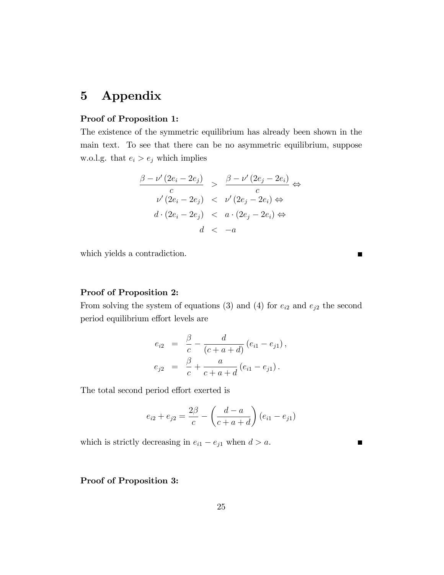# 5 Appendix

#### Proof of Proposition 1:

The existence of the symmetric equilibrium has already been shown in the main text. To see that there can be no asymmetric equilibrium, suppose w.o.l.g. that  $e_i > e_j$  which implies

$$
\frac{\beta - \nu'(2e_i - 2e_j)}{c} > \frac{\beta - \nu'(2e_j - 2e_i)}{c} \Leftrightarrow
$$
  

$$
\frac{\nu'(2e_i - 2e_j)}{d \cdot (2e_i - 2e_j)} < \frac{\nu'(2e_j - 2e_i)}{d} \Leftrightarrow
$$
  

$$
\frac{d}{d} < -a
$$

which yields a contradiction.

 $\blacksquare$ 

 $\blacksquare$ 

#### Proof of Proposition 2:

From solving the system of equations (3) and (4) for  $e_{i2}$  and  $e_{j2}$  the second period equilibrium effort levels are

$$
e_{i2} = \frac{\beta}{c} - \frac{d}{(c+a+d)} (e_{i1} - e_{j1}),
$$
  

$$
e_{j2} = \frac{\beta}{c} + \frac{a}{c+a+d} (e_{i1} - e_{j1}).
$$

The total second period effort exerted is

$$
e_{i2} + e_{j2} = \frac{2\beta}{c} - \left(\frac{d-a}{c+a+d}\right)(e_{i1} - e_{j1})
$$

which is strictly decreasing in  $e_{i1} - e_{j1}$  when  $d > a$ .

#### Proof of Proposition 3: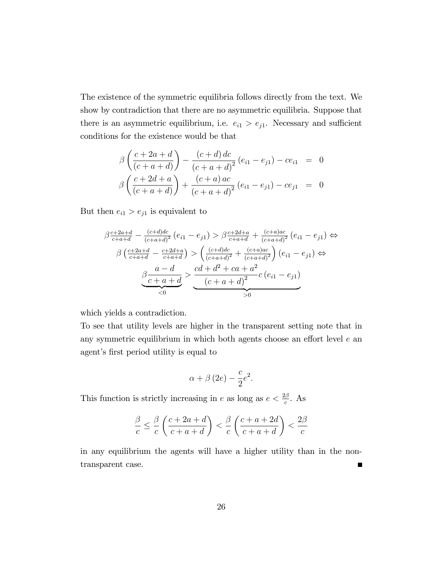The existence of the symmetric equilibria follows directly from the text. We show by contradiction that there are no asymmetric equilibria. Suppose that there is an asymmetric equilibrium, i.e.  $e_{i1} > e_{j1}$ . Necessary and sufficient conditions for the existence would be that

$$
\beta \left( \frac{c+2a+d}{(c+a+d)} \right) - \frac{(c+d) dc}{(c+a+d)^2} (e_{i1} - e_{j1}) - ce_{i1} = 0
$$
  

$$
\beta \left( \frac{c+2d+a}{(c+a+d)} \right) + \frac{(c+a) ac}{(c+a+d)^2} (e_{i1} - e_{j1}) - ce_{j1} = 0
$$

But then  $e_{i1} > e_{j1}$  is equivalent to

$$
\beta \frac{c+2a+d}{c+a+d} - \frac{(c+d)dc}{(c+a+d)^2} (e_{i1} - e_{j1}) > \beta \frac{c+2d+a}{c+a+d} + \frac{(c+a)ac}{(c+a+d)^2} (e_{i1} - e_{j1}) \Leftrightarrow
$$
  

$$
\beta \left( \frac{c+2a+d}{c+a+d} - \frac{c+2d+a}{c+a+d} \right) > \left( \frac{(c+d)dc}{(c+a+d)^2} + \frac{(c+a)ac}{(c+a+d)^2} \right) (e_{i1} - e_{j1}) \Leftrightarrow
$$
  

$$
\beta \frac{a-d}{c+a+d} > \frac{cd+d^2 + ca+a^2}{(c+a+d)^2} c (e_{i1} - e_{j1})
$$
  

$$
\xrightarrow{\zeta 0}
$$

which yields a contradiction.

To see that utility levels are higher in the transparent setting note that in any symmetric equilibrium in which both agents choose an effort level  $e$  an agent's first period utility is equal to

$$
\alpha + \beta (2e) - \frac{c}{2}e^2.
$$

This function is strictly increasing in e as long as  $e < \frac{2\beta}{c}$ . As

$$
\frac{\beta}{c} \le \frac{\beta}{c} \left( \frac{c+2a+d}{c+a+d} \right) < \frac{\beta}{c} \left( \frac{c+a+2d}{c+a+d} \right) < \frac{2\beta}{c}
$$

in any equilibrium the agents will have a higher utility than in the nontransparent case.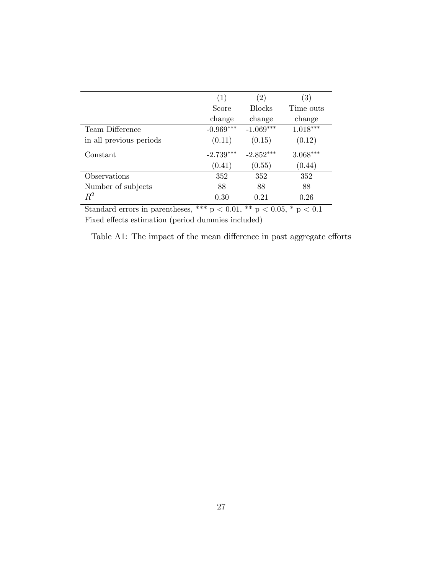|                         | (1)         | $\left( 2\right)$ | (3)        |
|-------------------------|-------------|-------------------|------------|
|                         | Score       | <b>Blocks</b>     | Time outs  |
|                         | change      | change            | change     |
| Team Difference         | $-0.969***$ | $-1.069***$       | $1.018***$ |
| in all previous periods | (0.11)      | (0.15)            | (0.12)     |
| Constant                | $-2.739***$ | $-2.852***$       | $3.068***$ |
|                         | (0.41)      | (0.55)            | (0.44)     |
| Observations            | 352         | 352               | 352        |
| Number of subjects      | 88          | 88                | 88         |
| $\,R^2$                 | 0.30        | 0.21              | 0.26       |
|                         | about a cha |                   |            |

Standard errors in parentheses, \*\*\*  $p < 0.01$ , \*\*  $p < 0.05$ , \*  $p < 0.1$ Fixed effects estimation (period dummies included)

Table A1: The impact of the mean difference in past aggregate efforts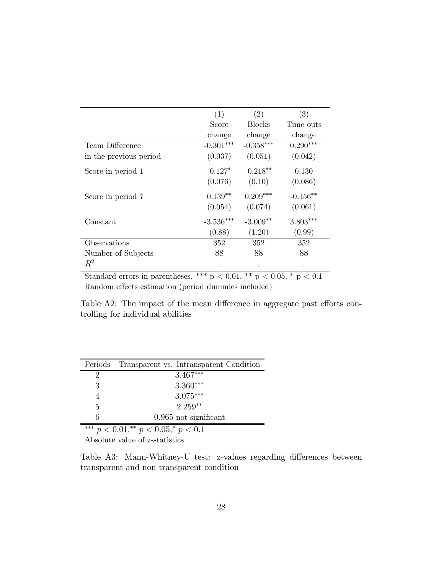|                        | (1)         | (2)           | (3)         |
|------------------------|-------------|---------------|-------------|
|                        | Score       | <b>Blocks</b> | Time outs   |
|                        | change      | change        | change      |
| Team Difference        | $-0.301***$ | $-0.358***$   | $0.290***$  |
| in the previous period | (0.037)     | (0.051)       | (0.042)     |
| Score in period 1      | $-0.127*$   | $-0.218**$    | 0.130       |
|                        | (0.076)     | (0.10)        | (0.086)     |
| Score in period 7      | $0.139**$   | $0.209***$    | $-0.156***$ |
|                        | (0.054)     | (0.074)       | (0.061)     |
| Constant               | $-3.536***$ | $-3.009**$    | $3.803***$  |
|                        | (0.88)      | (1.20)        | (0.99)      |
| Observations           | 352         | 352           | 352         |
| Number of Subjects     | 88          | 88            | 88          |
| $R^2$                  | $\bullet$   |               |             |

Standard errors in parentheses, \*\*\* p < 0.01, \*\* p < 0.05, \* p < 0.1 Random effects estimation (period dummies included)

Table A2: The impact of the mean difference in aggregate past efforts controlling for individual abilities

| Periods     | Transparent vs. Intransparent Condition                                            |
|-------------|------------------------------------------------------------------------------------|
| $\cdot$     | $3.467***$                                                                         |
| 3           | $3.360***$                                                                         |
| 4           | $3.075***$                                                                         |
| 5           | $2.259**$                                                                          |
| 6           | $0.965$ not significant                                                            |
| also la ala | $\sim$ $\sim$ $\sim$ $\sim$ $\sim$<br>$\sim$ $\sim$ $\sim$ $\sim$<br>$\sim$ $\sim$ |

\*\*\*  $p < 0.01$ ,\*\*  $p < 0.05$ ,\*  $p < 0.1$ Absolute value of z-statistics

Table A3: Mann-Whitney-U test: z-values regarding differences between transparent and non transparent condition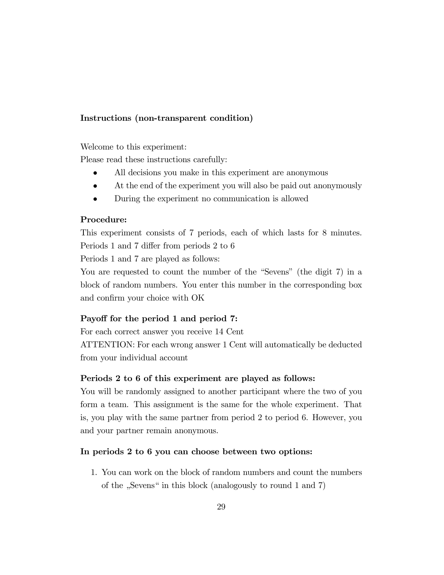#### Instructions (non-transparent condition)

Welcome to this experiment:

Please read these instructions carefully:

- All decisions you make in this experiment are anonymous
- At the end of the experiment you will also be paid out anonymously
- During the experiment no communication is allowed

#### Procedure:

This experiment consists of 7 periods, each of which lasts for 8 minutes. Periods 1 and 7 differ from periods 2 to 6

Periods 1 and 7 are played as follows:

You are requested to count the number of the "Sevens" (the digit 7) in a block of random numbers. You enter this number in the corresponding box and confirm your choice with OK

#### Payoff for the period 1 and period 7:

For each correct answer you receive 14 Cent

ATTENTION: For each wrong answer 1 Cent will automatically be deducted from your individual account

#### Periods 2 to 6 of this experiment are played as follows:

You will be randomly assigned to another participant where the two of you form a team. This assignment is the same for the whole experiment. That is, you play with the same partner from period 2 to period 6. However, you and your partner remain anonymous.

#### In periods 2 to 6 you can choose between two options:

1. You can work on the block of random numbers and count the numbers of the "Sevens" in this block (analogously to round 1 and 7)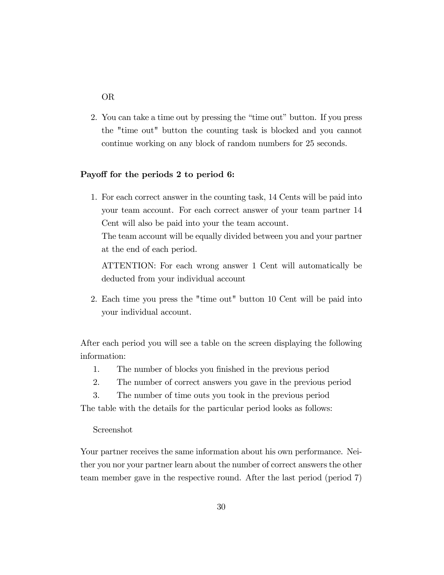### OR

2. You can take a time out by pressing the "time out" button. If you press the "time out" button the counting task is blocked and you cannot continue working on any block of random numbers for 25 seconds.

#### Payoff for the periods 2 to period 6:

1. For each correct answer in the counting task, 14 Cents will be paid into your team account. For each correct answer of your team partner 14 Cent will also be paid into your the team account.

The team account will be equally divided between you and your partner at the end of each period.

ATTENTION: For each wrong answer 1 Cent will automatically be deducted from your individual account

2. Each time you press the "time out" button 10 Cent will be paid into your individual account.

After each period you will see a table on the screen displaying the following information:

- 1. The number of blocks you finished in the previous period
- 2. The number of correct answers you gave in the previous period
- 3. The number of time outs you took in the previous period

The table with the details for the particular period looks as follows:

#### Screenshot

Your partner receives the same information about his own performance. Neither you nor your partner learn about the number of correct answers the other team member gave in the respective round. After the last period (period 7)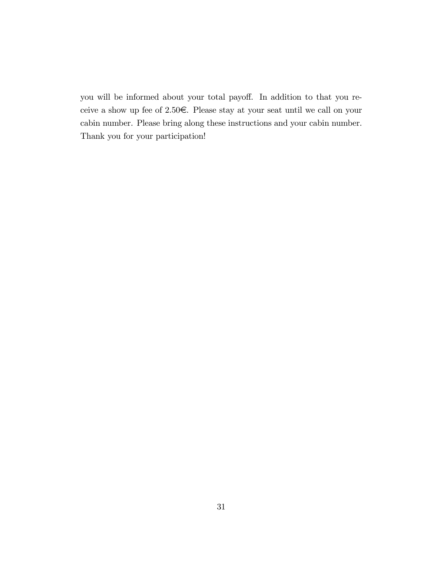you will be informed about your total payoff. In addition to that you receive a show up fee of 2.50 $\in$ . Please stay at your seat until we call on your cabin number. Please bring along these instructions and your cabin number. Thank you for your participation!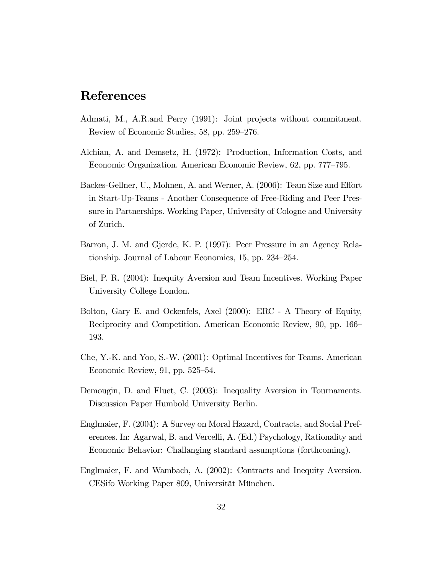# References

- Admati, M., A.R.and Perry (1991): Joint projects without commitment. Review of Economic Studies, 58, pp. 259–276.
- Alchian, A. and Demsetz, H. (1972): Production, Information Costs, and Economic Organization. American Economic Review, 62, pp. 777–795.
- Backes-Gellner, U., Mohnen, A. and Werner, A. (2006): Team Size and Effort in Start-Up-Teams - Another Consequence of Free-Riding and Peer Pressure in Partnerships. Working Paper, University of Cologne and University of Zurich.
- Barron, J. M. and Gjerde, K. P. (1997): Peer Pressure in an Agency Relationship. Journal of Labour Economics,  $15$ , pp.  $234-254$ .
- Biel, P. R. (2004): Inequity Aversion and Team Incentives. Working Paper University College London.
- Bolton, Gary E. and Ockenfels, Axel (2000): ERC A Theory of Equity, Reciprocity and Competition. American Economic Review, 90, pp. 166– 193.
- Che, Y.-K. and Yoo, S.-W. (2001): Optimal Incentives for Teams. American Economic Review,  $91$ , pp.  $525-54$ .
- Demougin, D. and Fluet, C. (2003): Inequality Aversion in Tournaments. Discussion Paper Humbold University Berlin.
- Englmaier, F. (2004): A Survey on Moral Hazard, Contracts, and Social Preferences. In: Agarwal, B. and Vercelli, A. (Ed.) Psychology, Rationality and Economic Behavior: Challanging standard assumptions (forthcoming).
- Englmaier, F. and Wambach, A. (2002): Contracts and Inequity Aversion. CESifo Working Paper 809, Universität München.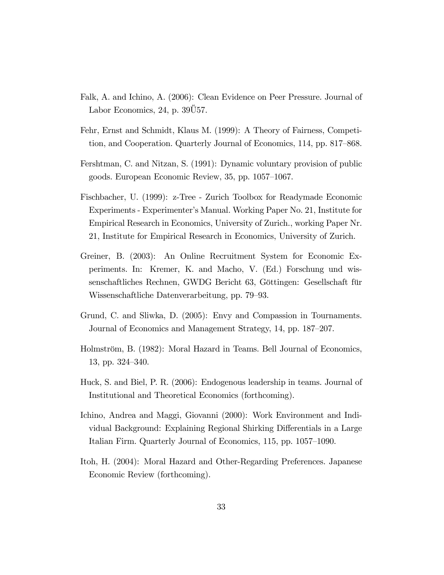- Falk, A. and Ichino, A. (2006): Clean Evidence on Peer Pressure. Journal of Labor Economics, 24, p.  $39\overline{0}57$ .
- Fehr, Ernst and Schmidt, Klaus M. (1999): A Theory of Fairness, Competition, and Cooperation. Quarterly Journal of Economics, 114, pp. 817–868.
- Fershtman, C. and Nitzan, S. (1991): Dynamic voluntary provision of public goods. European Economic Review,  $35$ , pp.  $1057-1067$ .
- Fischbacher, U. (1999): z-Tree Zurich Toolbox for Readymade Economic Experiments - Experimenterís Manual. Working Paper No. 21, Institute for Empirical Research in Economics, University of Zurich., working Paper Nr. 21, Institute for Empirical Research in Economics, University of Zurich.
- Greiner, B. (2003): An Online Recruitment System for Economic Experiments. In: Kremer, K. and Macho, V. (Ed.) Forschung und wissenschaftliches Rechnen, GWDG Bericht 63, Göttingen: Gesellschaft für Wissenschaftliche Datenverarbeitung, pp. 79–93.
- Grund, C. and Sliwka, D. (2005): Envy and Compassion in Tournaments. Journal of Economics and Management Strategy, 14, pp. 187–207.
- Holmström, B. (1982): Moral Hazard in Teams. Bell Journal of Economics, 13, pp. 324–340.
- Huck, S. and Biel, P. R. (2006): Endogenous leadership in teams. Journal of Institutional and Theoretical Economics (forthcoming).
- Ichino, Andrea and Maggi, Giovanni (2000): Work Environment and Individual Background: Explaining Regional Shirking Differentials in a Large Italian Firm. Quarterly Journal of Economics, 115, pp. 1057–1090.
- Itoh, H. (2004): Moral Hazard and Other-Regarding Preferences. Japanese Economic Review (forthcoming).